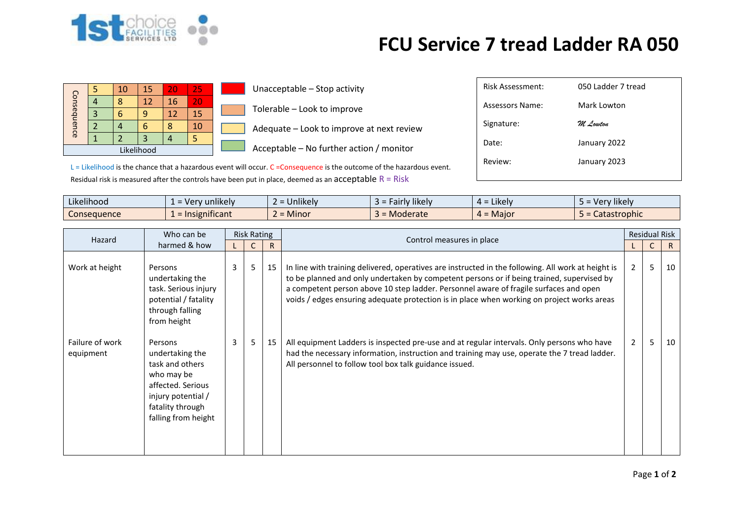

## **FCU Service 7 tread Ladder RA 050**

| Consequence |  | 10 | 15 | 20 | 25 |  |  |  |
|-------------|--|----|----|----|----|--|--|--|
|             |  | Я  | 12 | 16 | 20 |  |  |  |
|             |  |    |    | 12 | 15 |  |  |  |
|             |  |    |    |    | 10 |  |  |  |
|             |  |    | 3  |    |    |  |  |  |
| Likelihood  |  |    |    |    |    |  |  |  |

 $\Box$  Unacceptable – Stop activity Tolerable – Look to improve  $\blacksquare$  Adequate – Look to improve at next review

 $\Box$  Acceptable – No further action / monitor

| <b>Risk Assessment:</b> | 050 Ladder 7 tread |
|-------------------------|--------------------|
| Assessors Name:         | Mark Lowton        |
| Signature:              | M. Locuton         |
| Date:                   | January 2022       |
| Review:                 | January 2023       |
|                         |                    |

L = Likelihood is the chance that a hazardous event will occur. C = Consequence is the outcome of the hazardous event. Residual risk is measured after the controls have been put in place, deemed as an acceptable  $R = R$ isk

| Likelihood<br>$\cdots$ | v unlikelv<br>- Ver             | $\cdots$<br>$\sim$<br><b>Jnlikely</b>     | Fairly likely | $\cdots$<br>$4 =$ Likely | Very likely  |
|------------------------|---------------------------------|-------------------------------------------|---------------|--------------------------|--------------|
| <b>Consequence</b>     | .<br>$\epsilon$ = Insignificant | <b>A</b> $A$ <sup>+</sup><br><b>Minor</b> | Moderate      | $4 =$ Major              | Catastrophic |

| Who can be<br>Hazard<br>harmed & how |                                                                                                                                                   | <b>Risk Rating</b> |   |    |                                                                                                                                                                                                                                                                                                                                                                                        | <b>Residual Risk</b> |   |              |  |
|--------------------------------------|---------------------------------------------------------------------------------------------------------------------------------------------------|--------------------|---|----|----------------------------------------------------------------------------------------------------------------------------------------------------------------------------------------------------------------------------------------------------------------------------------------------------------------------------------------------------------------------------------------|----------------------|---|--------------|--|
|                                      |                                                                                                                                                   |                    |   | R  | Control measures in place                                                                                                                                                                                                                                                                                                                                                              |                      | C | $\mathsf{R}$ |  |
| Work at height                       | Persons<br>undertaking the<br>task. Serious injury<br>potential / fatality<br>through falling<br>from height                                      | 3                  | 5 | 15 | In line with training delivered, operatives are instructed in the following. All work at height is<br>to be planned and only undertaken by competent persons or if being trained, supervised by<br>a competent person above 10 step ladder. Personnel aware of fragile surfaces and open<br>voids / edges ensuring adequate protection is in place when working on project works areas | 2                    | 5 | 10           |  |
| Failure of work<br>equipment         | Persons<br>undertaking the<br>task and others<br>who may be<br>affected. Serious<br>injury potential /<br>fatality through<br>falling from height | $\mathbf{3}$       | 5 | 15 | All equipment Ladders is inspected pre-use and at regular intervals. Only persons who have<br>had the necessary information, instruction and training may use, operate the 7 tread ladder.<br>All personnel to follow tool box talk guidance issued.                                                                                                                                   | $\overline{2}$       | 5 | 10           |  |